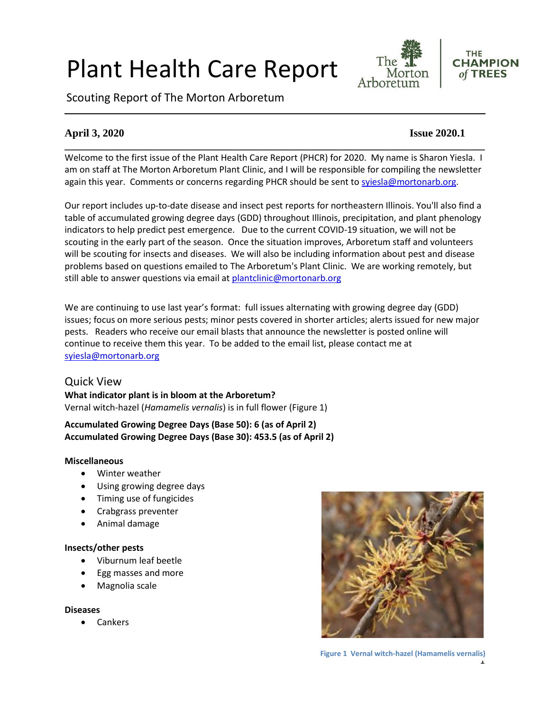# Plant Health Care Report

Scouting Report of The Morton Arboretum



#### **THE CHAMPION** of TREES

### **April 3, 2020 Issue 2020.1**

Welcome to the first issue of the Plant Health Care Report (PHCR) for 2020. My name is Sharon Yiesla. I am on staff at The Morton Arboretum Plant Clinic, and I will be responsible for compiling the newsletter again this year. Comments or concerns regarding PHCR should be sent to [syiesla@mortonarb.org.](mailto:syiesla@mortonarb.org)

**\_\_\_\_\_\_\_\_\_\_\_\_\_\_\_\_\_\_\_\_\_\_\_\_\_\_\_\_\_\_\_\_\_\_\_\_\_\_\_\_\_\_\_\_\_\_\_\_\_\_\_\_\_\_\_\_\_\_\_\_\_\_\_\_\_\_\_\_\_\_\_\_\_\_\_\_\_\_**

Our report includes up-to-date disease and insect pest reports for northeastern Illinois. You'll also find a table of accumulated growing degree days (GDD) throughout Illinois, precipitation, and plant phenology indicators to help predict pest emergence. Due to the current COVID-19 situation, we will not be scouting in the early part of the season. Once the situation improves, Arboretum staff and volunteers will be scouting for insects and diseases. We will also be including information about pest and disease problems based on questions emailed to The Arboretum's Plant Clinic. We are working remotely, but still able to answer questions via email at [plantclinic@mortonarb.org](mailto:plantclinic@mortonarb.org)

We are continuing to use last year's format: full issues alternating with growing degree day (GDD) issues; focus on more serious pests; minor pests covered in shorter articles; alerts issued for new major pests. Readers who receive our email blasts that announce the newsletter is posted online will continue to receive them this year. To be added to the email list, please contact me at [syiesla@mortonarb.org](mailto:syiesla@mortonarb.org)

#### Quick View

**What indicator plant is in bloom at the Arboretum?** Vernal witch-hazel (*Hamamelis vernalis*) is in full flower (Figure 1)

#### **Accumulated Growing Degree Days (Base 50): 6 (as of April 2) Accumulated Growing Degree Days (Base 30): 453.5 (as of April 2)**

#### **Miscellaneous**

- Winter weather
- Using growing degree days
- Timing use of fungicides
- Crabgrass preventer
- Animal damage

#### **Insects/other pests**

- Viburnum leaf beetle
- Egg masses and more
- Magnolia scale

#### **Diseases**

• Cankers



**Figure 1 Vernal witch-hazel (Hamamelis vernalis)**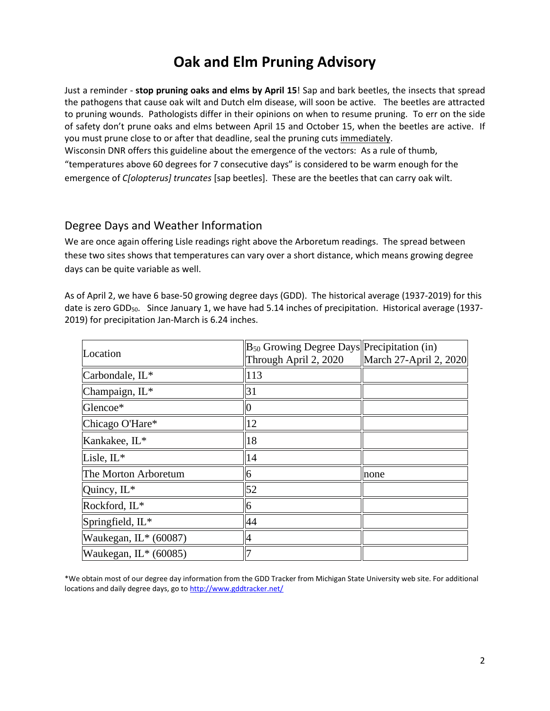## **Oak and Elm Pruning Advisory**

Just a reminder - **stop pruning oaks and elms by April 15**! Sap and bark beetles, the insects that spread the pathogens that cause oak wilt and Dutch elm disease, will soon be active. The beetles are attracted to pruning wounds. Pathologists differ in their opinions on when to resume pruning. To err on the side of safety don't prune oaks and elms between April 15 and October 15, when the beetles are active. If you must prune close to or after that deadline, seal the pruning cuts immediately.

Wisconsin DNR offers this guideline about the emergence of the vectors: As a rule of thumb, "temperatures above 60 degrees for 7 consecutive days" is considered to be warm enough for the emergence of *C[olopterus] truncates* [sap beetles]. These are the beetles that can carry oak wilt.

#### Degree Days and Weather Information

We are once again offering Lisle readings right above the Arboretum readings. The spread between these two sites shows that temperatures can vary over a short distance, which means growing degree days can be quite variable as well.

As of April 2, we have 6 base-50 growing degree days (GDD). The historical average (1937-2019) for this date is zero GDD<sub>50</sub>. Since January 1, we have had 5.14 inches of precipitation. Historical average (1937-2019) for precipitation Jan-March is 6.24 inches.

| Location                | $B_{50}$ Growing Degree Days Precipitation (in)<br>Through April 2, 2020 | March 27-April 2, 2020 |
|-------------------------|--------------------------------------------------------------------------|------------------------|
| Carbondale, IL*         | 113                                                                      |                        |
| Champaign, IL*          | 31                                                                       |                        |
| Glencoe*                | $\overline{0}$                                                           |                        |
| Chicago O'Hare*         | 12                                                                       |                        |
| Kankakee, IL*           | 18                                                                       |                        |
| Lisle, IL*              | 14                                                                       |                        |
| The Morton Arboretum    | 6                                                                        | none                   |
| Quincy, IL*             | 52                                                                       |                        |
| Rockford, IL*           | 6                                                                        |                        |
| Springfield, IL*        | 44                                                                       |                        |
| Waukegan, IL* (60087)   | $\overline{4}$                                                           |                        |
| Waukegan, $IL^*(60085)$ | 7                                                                        |                        |

\*We obtain most of our degree day information from the GDD Tracker from Michigan State University web site. For additional locations and daily degree days, go t[o http://www.gddtracker.net/](http://www.gddtracker.net/)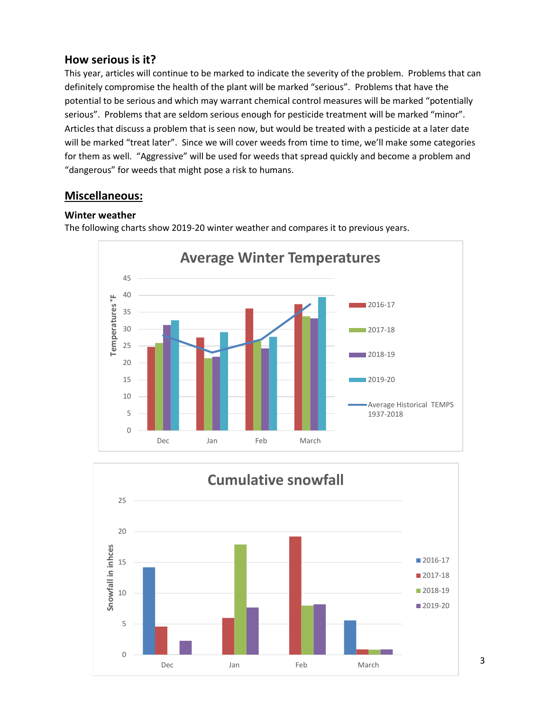#### **How serious is it?**

This year, articles will continue to be marked to indicate the severity of the problem. Problems that can definitely compromise the health of the plant will be marked "serious".Problems that have the potential to be serious and which may warrant chemical control measures will be marked "potentially serious". Problems that are seldom serious enough for pesticide treatment will be marked "minor". Articles that discuss a problem that is seen now, but would be treated with a pesticide at a later date will be marked "treat later". Since we will cover weeds from time to time, we'll make some categories for them as well. "Aggressive" will be used for weeds that spread quickly and become a problem and "dangerous" for weeds that might pose a risk to humans.

#### **Miscellaneous:**

#### **Winter weather**



The following charts show 2019-20 winter weather and compares it to previous years.

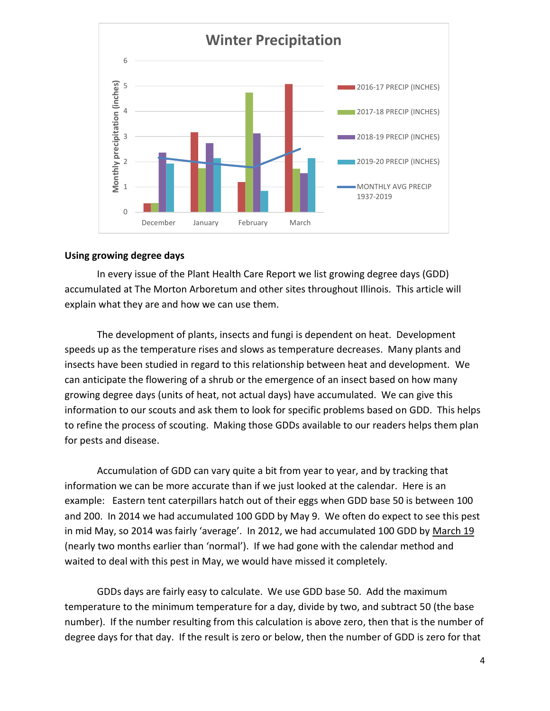

#### **Using growing degree days**

In every issue of the Plant Health Care Report we list growing degree days (GDD) accumulated at The Morton Arboretum and other sites throughout Illinois. This article will explain what they are and how we can use them.

The development of plants, insects and fungi is dependent on heat. Development speeds up as the temperature rises and slows as temperature decreases. Many plants and insects have been studied in regard to this relationship between heat and development. We can anticipate the flowering of a shrub or the emergence of an insect based on how many growing degree days (units of heat, not actual days) have accumulated. We can give this information to our scouts and ask them to look for specific problems based on GDD. This helps to refine the process of scouting. Making those GDDs available to our readers helps them plan for pests and disease.

Accumulation of GDD can vary quite a bit from year to year, and by tracking that information we can be more accurate than if we just looked at the calendar. Here is an example: Eastern tent caterpillars hatch out of their eggs when GDD base 50 is between 100 and 200. In 2014 we had accumulated 100 GDD by May 9. We often do expect to see this pest in mid May, so 2014 was fairly 'average'. In 2012, we had accumulated 100 GDD by March 19 (nearly two months earlier than 'normal'). If we had gone with the calendar method and waited to deal with this pest in May, we would have missed it completely.

GDDs days are fairly easy to calculate. We use GDD base 50. Add the maximum temperature to the minimum temperature for a day, divide by two, and subtract 50 (the base number). If the number resulting from this calculation is above zero, then that is the number of degree days for that day. If the result is zero or below, then the number of GDD is zero for that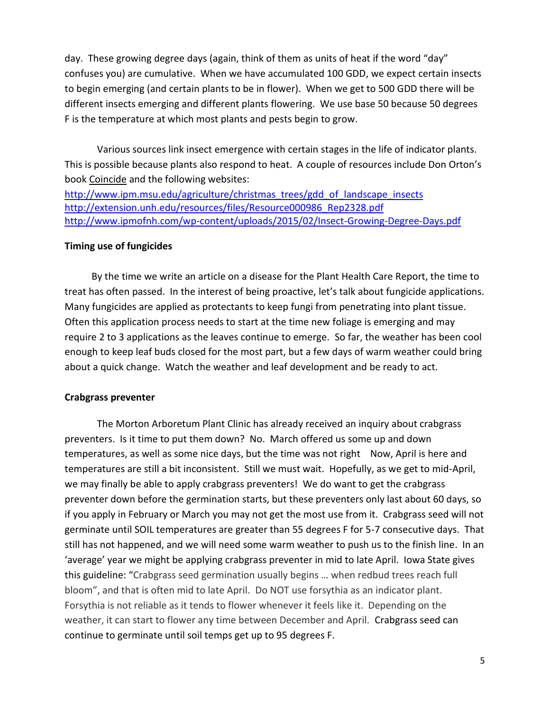day. These growing degree days (again, think of them as units of heat if the word "day" confuses you) are cumulative. When we have accumulated 100 GDD, we expect certain insects to begin emerging (and certain plants to be in flower). When we get to 500 GDD there will be different insects emerging and different plants flowering. We use base 50 because 50 degrees F is the temperature at which most plants and pests begin to grow.

Various sources link insect emergence with certain stages in the life of indicator plants. This is possible because plants also respond to heat. A couple of resources include Don Orton's book Coincide and the following websites:

[http://www.ipm.msu.edu/agriculture/christmas\\_trees/gdd\\_of\\_landscape\\_insects](http://www.ipm.msu.edu/agriculture/christmas_trees/gdd_of_landscape_insects) [http://extension.unh.edu/resources/files/Resource000986\\_Rep2328.pdf](http://extension.unh.edu/resources/files/Resource000986_Rep2328.pdf) <http://www.ipmofnh.com/wp-content/uploads/2015/02/Insect-Growing-Degree-Days.pdf>

#### **Timing use of fungicides**

 By the time we write an article on a disease for the Plant Health Care Report, the time to treat has often passed. In the interest of being proactive, let's talk about fungicide applications. Many fungicides are applied as protectants to keep fungi from penetrating into plant tissue. Often this application process needs to start at the time new foliage is emerging and may require 2 to 3 applications as the leaves continue to emerge. So far, the weather has been cool enough to keep leaf buds closed for the most part, but a few days of warm weather could bring about a quick change. Watch the weather and leaf development and be ready to act.

#### **Crabgrass preventer**

The Morton Arboretum Plant Clinic has already received an inquiry about crabgrass preventers. Is it time to put them down? No. March offered us some up and down temperatures, as well as some nice days, but the time was not right Now, April is here and temperatures are still a bit inconsistent. Still we must wait. Hopefully, as we get to mid-April, we may finally be able to apply crabgrass preventers! We do want to get the crabgrass preventer down before the germination starts, but these preventers only last about 60 days, so if you apply in February or March you may not get the most use from it. Crabgrass seed will not germinate until SOIL temperatures are greater than 55 degrees F for 5-7 consecutive days. That still has not happened, and we will need some warm weather to push us to the finish line. In an 'average' year we might be applying crabgrass preventer in mid to late April. Iowa State gives this guideline: "Crabgrass seed germination usually begins … when redbud trees reach full bloom", and that is often mid to late April. Do NOT use forsythia as an indicator plant. Forsythia is not reliable as it tends to flower whenever it feels like it. Depending on the weather, it can start to flower any time between December and April. Crabgrass seed can continue to germinate until soil temps get up to 95 degrees F.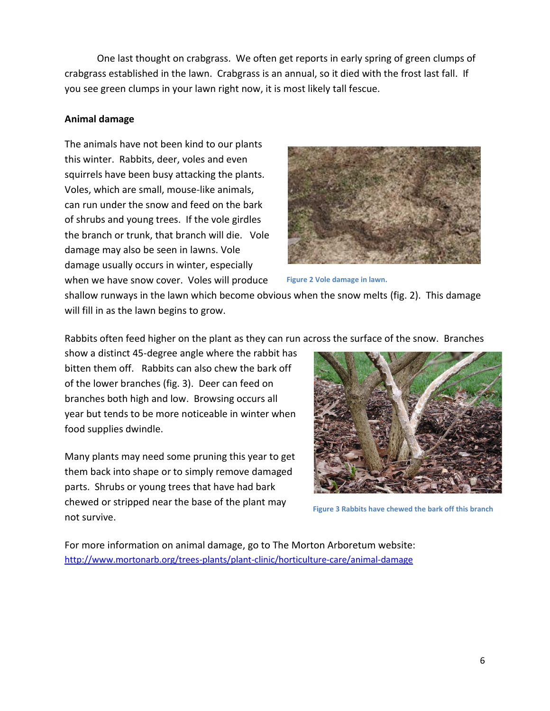One last thought on crabgrass. We often get reports in early spring of green clumps of crabgrass established in the lawn. Crabgrass is an annual, so it died with the frost last fall. If you see green clumps in your lawn right now, it is most likely tall fescue.

#### **Animal damage**

The animals have not been kind to our plants this winter. Rabbits, deer, voles and even squirrels have been busy attacking the plants. Voles, which are small, mouse-like animals, can run under the snow and feed on the bark of shrubs and young trees. If the vole girdles the branch or trunk, that branch will die. Vole damage may also be seen in lawns. Vole damage usually occurs in winter, especially when we have snow cover. Voles will produce



**Figure 2 Vole damage in lawn.**

shallow runways in the lawn which become obvious when the snow melts (fig. 2). This damage will fill in as the lawn begins to grow.

Rabbits often feed higher on the plant as they can run across the surface of the snow. Branches

show a distinct 45-degree angle where the rabbit has bitten them off. Rabbits can also chew the bark off of the lower branches (fig. 3). Deer can feed on branches both high and low. Browsing occurs all year but tends to be more noticeable in winter when food supplies dwindle.

Many plants may need some pruning this year to get them back into shape or to simply remove damaged parts. Shrubs or young trees that have had bark chewed or stripped near the base of the plant may not survive.



**Figure 3 Rabbits have chewed the bark off this branch**

For more information on animal damage, go to The Morton Arboretum website: <http://www.mortonarb.org/trees-plants/plant-clinic/horticulture-care/animal-damage>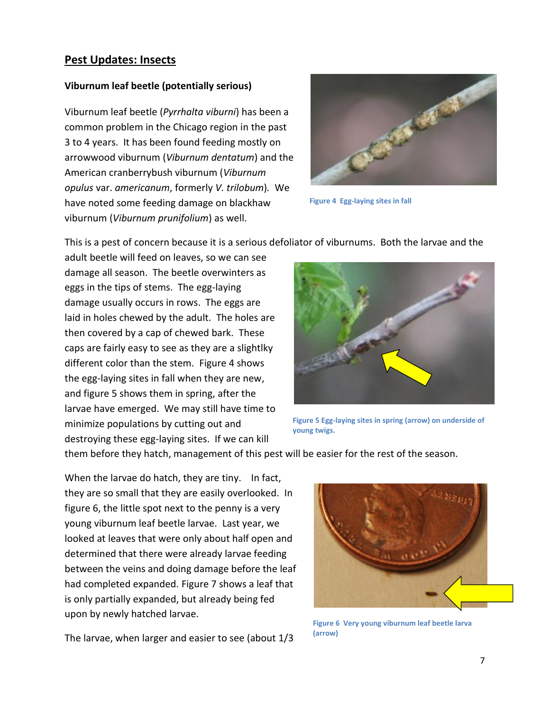#### **Pest Updates: Insects**

#### **Viburnum leaf beetle (potentially serious)**

Viburnum leaf beetle (*Pyrrhalta viburni*) has been a common problem in the Chicago region in the past 3 to 4 years. It has been found feeding mostly on arrowwood viburnum (*Viburnum dentatum*) and the American cranberrybush viburnum (*Viburnum opulus* var. *americanum*, formerly *V. trilobum*)*.* We have noted some feeding damage on blackhaw viburnum (*Viburnum prunifolium*) as well.



**Figure 4 Egg-laying sites in fall**

This is a pest of concern because it is a serious defoliator of viburnums. Both the larvae and the

adult beetle will feed on leaves, so we can see damage all season. The beetle overwinters as eggs in the tips of stems. The egg-laying damage usually occurs in rows. The eggs are laid in holes chewed by the adult. The holes are then covered by a cap of chewed bark. These caps are fairly easy to see as they are a slightlky different color than the stem. Figure 4 shows the egg-laying sites in fall when they are new, and figure 5 shows them in spring, after the larvae have emerged. We may still have time to minimize populations by cutting out and destroying these egg-laying sites. If we can kill



**Figure 5 Egg-laying sites in spring (arrow) on underside of young twigs.**

them before they hatch, management of this pest will be easier for the rest of the season.

When the larvae do hatch, they are tiny. In fact, they are so small that they are easily overlooked. In figure 6, the little spot next to the penny is a very young viburnum leaf beetle larvae. Last year, we looked at leaves that were only about half open and determined that there were already larvae feeding between the veins and doing damage before the leaf had completed expanded. Figure 7 shows a leaf that is only partially expanded, but already being fed upon by newly hatched larvae.





**Figure 6 Very young viburnum leaf beetle larva (arrow)**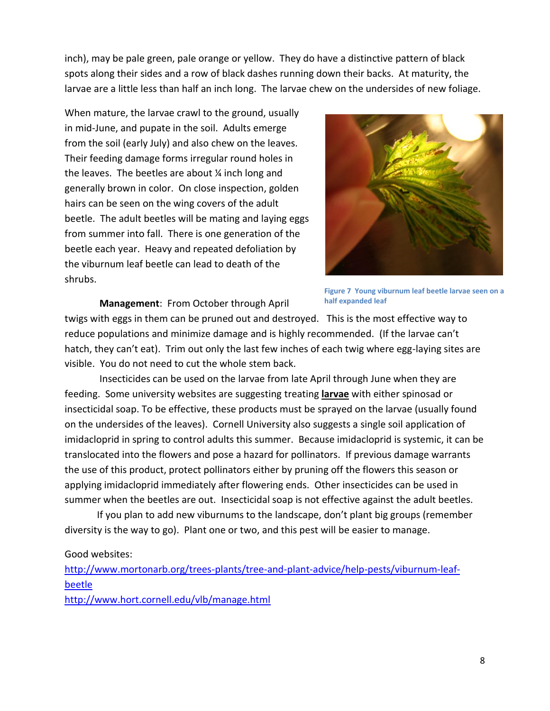inch), may be pale green, pale orange or yellow. They do have a distinctive pattern of black spots along their sides and a row of black dashes running down their backs. At maturity, the larvae are a little less than half an inch long. The larvae chew on the undersides of new foliage.

When mature, the larvae crawl to the ground, usually in mid-June, and pupate in the soil. Adults emerge from the soil (early July) and also chew on the leaves. Their feeding damage forms irregular round holes in the leaves. The beetles are about  $\frac{1}{4}$  inch long and generally brown in color. On close inspection, golden hairs can be seen on the wing covers of the adult beetle. The adult beetles will be mating and laying eggs from summer into fall. There is one generation of the beetle each year. Heavy and repeated defoliation by the viburnum leaf beetle can lead to death of the shrubs.



**Figure 7 Young viburnum leaf beetle larvae seen on a half expanded leaf**

**Management**: From October through April

twigs with eggs in them can be pruned out and destroyed. This is the most effective way to reduce populations and minimize damage and is highly recommended. (If the larvae can't hatch, they can't eat). Trim out only the last few inches of each twig where egg-laying sites are visible. You do not need to cut the whole stem back.

Insecticides can be used on the larvae from late April through June when they are feeding. Some university websites are suggesting treating **larvae** with either spinosad or insecticidal soap. To be effective, these products must be sprayed on the larvae (usually found on the undersides of the leaves). Cornell University also suggests a single soil application of imidacloprid in spring to control adults this summer. Because imidacloprid is systemic, it can be translocated into the flowers and pose a hazard for pollinators. If previous damage warrants the use of this product, protect pollinators either by pruning off the flowers this season or applying imidacloprid immediately after flowering ends. Other insecticides can be used in summer when the beetles are out. Insecticidal soap is not effective against the adult beetles.

If you plan to add new viburnums to the landscape, don't plant big groups (remember diversity is the way to go). Plant one or two, and this pest will be easier to manage.

#### Good websites:

[http://www.mortonarb.org/trees-plants/tree-and-plant-advice/help-pests/viburnum-leaf](http://www.mortonarb.org/trees-plants/tree-and-plant-advice/help-pests/viburnum-leaf-beetle)[beetle](http://www.mortonarb.org/trees-plants/tree-and-plant-advice/help-pests/viburnum-leaf-beetle)

<http://www.hort.cornell.edu/vlb/manage.html>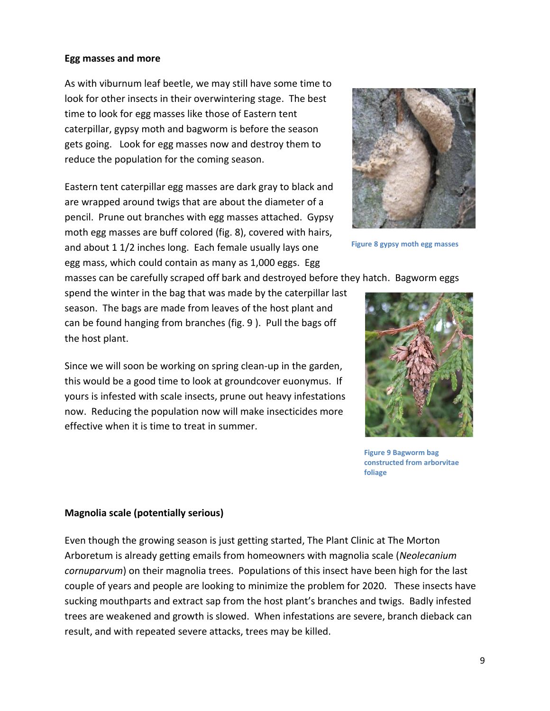#### **Egg masses and more**

As with viburnum leaf beetle, we may still have some time to look for other insects in their overwintering stage. The best time to look for egg masses like those of Eastern tent caterpillar, gypsy moth and bagworm is before the season gets going. Look for egg masses now and destroy them to reduce the population for the coming season.

Eastern tent caterpillar egg masses are dark gray to black and are wrapped around twigs that are about the diameter of a pencil. Prune out branches with egg masses attached. Gypsy moth egg masses are buff colored (fig. 8), covered with hairs, and about 1 1/2 inches long. Each female usually lays one egg mass, which could contain as many as 1,000 eggs. Egg



**Figure 8 gypsy moth egg masses**

masses can be carefully scraped off bark and destroyed before they hatch. Bagworm eggs

spend the winter in the bag that was made by the caterpillar last season. The bags are made from leaves of the host plant and can be found hanging from branches (fig. 9 ). Pull the bags off the host plant.

Since we will soon be working on spring clean-up in the garden, this would be a good time to look at groundcover euonymus. If yours is infested with scale insects, prune out heavy infestations now. Reducing the population now will make insecticides more effective when it is time to treat in summer.



**Figure 9 Bagworm bag constructed from arborvitae foliage**

#### **Magnolia scale (potentially serious)**

Even though the growing season is just getting started, The Plant Clinic at The Morton Arboretum is already getting emails from homeowners with magnolia scale (*Neolecanium cornuparvum*) on their magnolia trees. Populations of this insect have been high for the last couple of years and people are looking to minimize the problem for 2020. These insects have sucking mouthparts and extract sap from the host plant's branches and twigs. Badly infested trees are weakened and growth is slowed. When infestations are severe, branch dieback can result, and with repeated severe attacks, trees may be killed.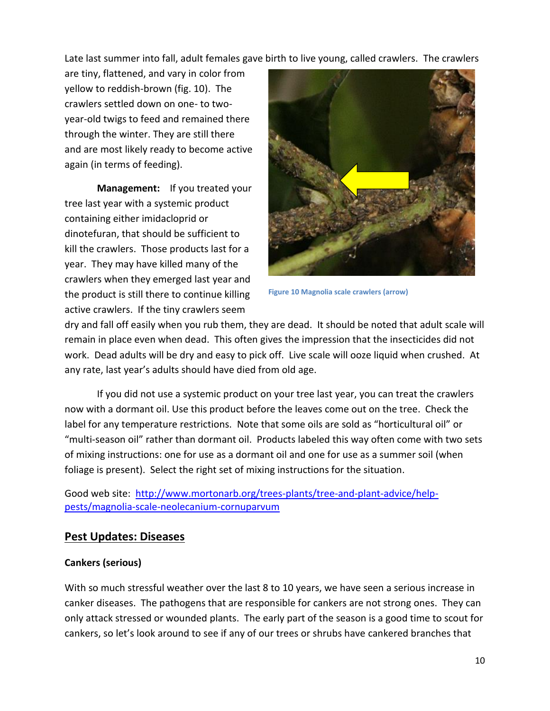Late last summer into fall, adult females gave birth to live young, called crawlers. The crawlers

are tiny, flattened, and vary in color from yellow to reddish-brown (fig. 10). The crawlers settled down on one- to twoyear-old twigs to feed and remained there through the winter. They are still there and are most likely ready to become active again (in terms of feeding).

**Management:** If you treated your tree last year with a systemic product containing either imidacloprid or dinotefuran, that should be sufficient to kill the crawlers. Those products last for a year. They may have killed many of the crawlers when they emerged last year and the product is still there to continue killing active crawlers. If the tiny crawlers seem



**Figure 10 Magnolia scale crawlers (arrow)**

dry and fall off easily when you rub them, they are dead. It should be noted that adult scale will remain in place even when dead. This often gives the impression that the insecticides did not work. Dead adults will be dry and easy to pick off. Live scale will ooze liquid when crushed. At any rate, last year's adults should have died from old age.

If you did not use a systemic product on your tree last year, you can treat the crawlers now with a dormant oil. Use this product before the leaves come out on the tree. Check the label for any temperature restrictions. Note that some oils are sold as "horticultural oil" or "multi-season oil" rather than dormant oil. Products labeled this way often come with two sets of mixing instructions: one for use as a dormant oil and one for use as a summer soil (when foliage is present). Select the right set of mixing instructions for the situation.

Good web site: [http://www.mortonarb.org/trees-plants/tree-and-plant-advice/help](http://www.mortonarb.org/trees-plants/tree-and-plant-advice/help-pests/magnolia-scale-neolecanium-cornuparvum)[pests/magnolia-scale-neolecanium-cornuparvum](http://www.mortonarb.org/trees-plants/tree-and-plant-advice/help-pests/magnolia-scale-neolecanium-cornuparvum)

#### **Pest Updates: Diseases**

#### **Cankers (serious)**

With so much stressful weather over the last 8 to 10 years, we have seen a serious increase in canker diseases. The pathogens that are responsible for cankers are not strong ones. They can only attack stressed or wounded plants. The early part of the season is a good time to scout for cankers, so let's look around to see if any of our trees or shrubs have cankered branches that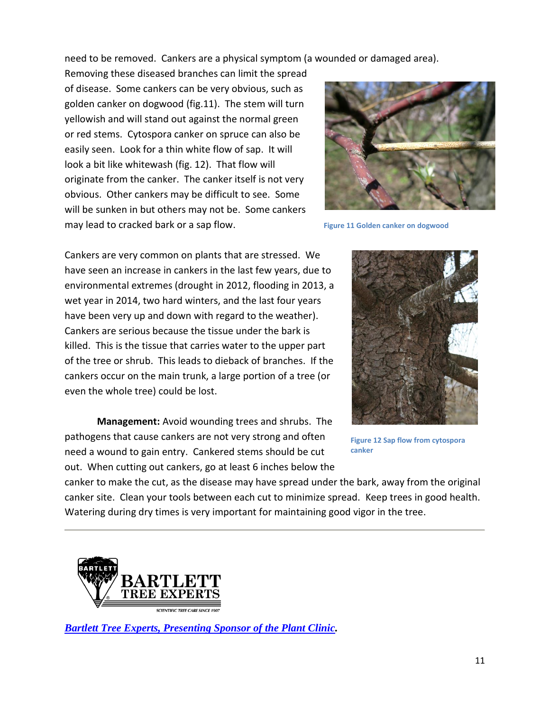need to be removed. Cankers are a physical symptom (a wounded or damaged area).

Removing these diseased branches can limit the spread of disease. Some cankers can be very obvious, such as golden canker on dogwood (fig.11). The stem will turn yellowish and will stand out against the normal green or red stems. Cytospora canker on spruce can also be easily seen. Look for a thin white flow of sap. It will look a bit like whitewash (fig. 12). That flow will originate from the canker. The canker itself is not very obvious. Other cankers may be difficult to see. Some will be sunken in but others may not be. Some cankers may lead to cracked bark or a sap flow.



**Figure 11 Golden canker on dogwood**

Cankers are very common on plants that are stressed. We have seen an increase in cankers in the last few years, due to environmental extremes (drought in 2012, flooding in 2013, a wet year in 2014, two hard winters, and the last four years have been very up and down with regard to the weather). Cankers are serious because the tissue under the bark is killed. This is the tissue that carries water to the upper part of the tree or shrub. This leads to dieback of branches. If the cankers occur on the main trunk, a large portion of a tree (or even the whole tree) could be lost.

**Management:** Avoid wounding trees and shrubs. The pathogens that cause cankers are not very strong and often need a wound to gain entry. Cankered stems should be cut out. When cutting out cankers, go at least 6 inches below the



**Figure 12 Sap flow from cytospora canker**

canker to make the cut, as the disease may have spread under the bark, away from the original canker site. Clean your tools between each cut to minimize spread. Keep trees in good health. Watering during dry times is very important for maintaining good vigor in the tree.



*[Bartlett Tree Experts, Presenting Sponsor of the Plant Clinic.](https://www.bartlett.com/)*